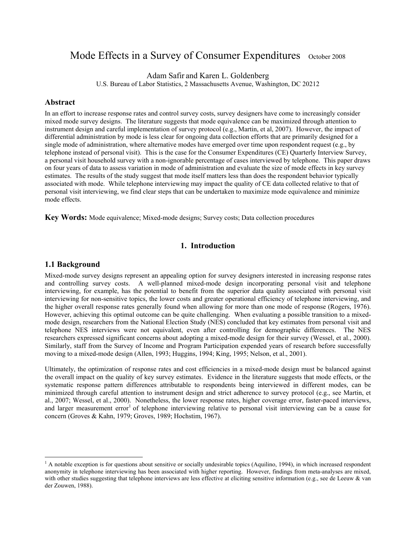# Mode Effects in a Survey of Consumer Expenditures October 2008

Adam Safir and Karen L. Goldenberg

U.S. Bureau of Labor Statistics, 2 Massachusetts Avenue, Washington, DC 20212

#### **Abstract**

In an effort to increase response rates and control survey costs, survey designers have come to increasingly consider mixed mode survey designs. The literature suggests that mode equivalence can be maximized through attention to instrument design and careful implementation of survey protocol (e.g., Martin, et al, 2007). However, the impact of differential administration by mode is less clear for ongoing data collection efforts that are primarily designed for a single mode of administration, where alternative modes have emerged over time upon respondent request (e.g., by telephone instead of personal visit). This is the case for the Consumer Expenditures (CE) Quarterly Interview Survey, a personal visit household survey with a non-ignorable percentage of cases interviewed by telephone. This paper draws on four years of data to assess variation in mode of administration and evaluate the size of mode effects in key survey estimates. The results of the study suggest that mode itself matters less than does the respondent behavior typically associated with mode. While telephone interviewing may impact the quality of CE data collected relative to that of personal visit interviewing, we find clear steps that can be undertaken to maximize mode equivalence and minimize mode effects.

**Key Words:** Mode equivalence; Mixed-mode designs; Survey costs; Data collection procedures

### **1. Introduction**

## **1.1 Background**

1

Mixed-mode survey designs represent an appealing option for survey designers interested in increasing response rates and controlling survey costs. A well-planned mixed-mode design incorporating personal visit and telephone interviewing, for example, has the potential to benefit from the superior data quality associated with personal visit interviewing for non-sensitive topics, the lower costs and greater operational efficiency of telephone interviewing, and the higher overall response rates generally found when allowing for more than one mode of response (Rogers, 1976). However, achieving this optimal outcome can be quite challenging. When evaluating a possible transition to a mixedmode design, researchers from the National Election Study (NES) concluded that key estimates from personal visit and telephone NES interviews were not equivalent, even after controlling for demographic differences. The NES researchers expressed significant concerns about adopting a mixed-mode design for their survey (Wessel, et al., 2000). Similarly, staff from the Survey of Income and Program Participation expended years of research before successfully moving to a mixed-mode design (Allen, 1993; Huggins, 1994; King, 1995; Nelson, et al., 2001).

Ultimately, the optimization of response rates and cost efficiencies in a mixed-mode design must be balanced against the overall impact on the quality of key survey estimates. Evidence in the literature suggests that mode effects, or the systematic response pattern differences attributable to respondents being interviewed in different modes, can be minimized through careful attention to instrument design and strict adherence to survey protocol (e.g., see Martin, et al., 2007; Wessel, et al., 2000). Nonetheless, the lower response rates, higher coverage error, faster-paced interviews, and larger measurement error<sup>1</sup> of telephone interviewing relative to personal visit interviewing can be a cause for concern (Groves & Kahn, 1979; Groves, 1989; Hochstim, 1967).

<sup>&</sup>lt;sup>1</sup> A notable exception is for questions about sensitive or socially undesirable topics (Aquilino, 1994), in which increased respondent anonymity in telephone interviewing has been associated with higher reporting. However, findings from meta-analyses are mixed, with other studies suggesting that telephone interviews are less effective at eliciting sensitive information (e.g., see de Leeuw & van der Zouwen, 1988).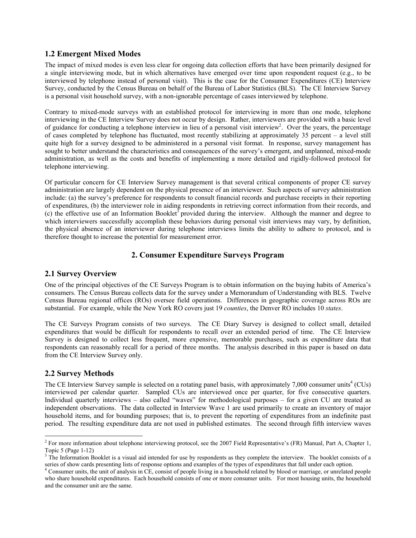# **1.2 Emergent Mixed Modes**

The impact of mixed modes is even less clear for ongoing data collection efforts that have been primarily designed for a single interviewing mode, but in which alternatives have emerged over time upon respondent request (e.g., to be interviewed by telephone instead of personal visit). This is the case for the Consumer Expenditures (CE) Interview Survey, conducted by the Census Bureau on behalf of the Bureau of Labor Statistics (BLS). The CE Interview Survey is a personal visit household survey, with a non-ignorable percentage of cases interviewed by telephone.

Contrary to mixed-mode surveys with an established protocol for interviewing in more than one mode, telephone interviewing in the CE Interview Survey does not occur by design. Rather, interviewers are provided with a basic level of guidance for conducting a telephone interview in lieu of a personal visit interview<sup>2</sup>. Over the years, the percentage of cases completed by telephone has fluctuated, most recently stabilizing at approximately 35 percent – a level still quite high for a survey designed to be administered in a personal visit format. In response, survey management has sought to better understand the characteristics and consequences of the survey's emergent, and unplanned, mixed-mode administration, as well as the costs and benefits of implementing a more detailed and rigidly-followed protocol for telephone interviewing.

Of particular concern for CE Interview Survey management is that several critical components of proper CE survey administration are largely dependent on the physical presence of an interviewer. Such aspects of survey administration include: (a) the survey's preference for respondents to consult financial records and purchase receipts in their reporting of expenditures, (b) the interviewer role in aiding respondents in retrieving correct information from their records, and (c) the effective use of an Information Booklet<sup>3</sup> provided during the interview. Although the manner and degree to which interviewers successfully accomplish these behaviors during personal visit interviews may vary, by definition, the physical absence of an interviewer during telephone interviews limits the ability to adhere to protocol, and is therefore thought to increase the potential for measurement error.

# **2. Consumer Expenditure Surveys Program**

### **2.1 Survey Overview**

One of the principal objectives of the CE Surveys Program is to obtain information on the buying habits of America's consumers. The Census Bureau collects data for the survey under a Memorandum of Understanding with BLS. Twelve Census Bureau regional offices (ROs) oversee field operations. Differences in geographic coverage across ROs are substantial. For example, while the New York RO covers just 19 *counties*, the Denver RO includes 10 *states*.

The CE Surveys Program consists of two surveys. The CE Diary Survey is designed to collect small, detailed expenditures that would be difficult for respondents to recall over an extended period of time. The CE Interview Survey is designed to collect less frequent, more expensive, memorable purchases, such as expenditure data that respondents can reasonably recall for a period of three months. The analysis described in this paper is based on data from the CE Interview Survey only.

# **2.2 Survey Methods**

1

The CE Interview Survey sample is selected on a rotating panel basis, with approximately  $7,000$  consumer units<sup>4</sup> (CUs) interviewed per calendar quarter. Sampled CUs are interviewed once per quarter, for five consecutive quarters. Individual quarterly interviews – also called "waves" for methodological purposes – for a given CU are treated as independent observations. The data collected in Interview Wave 1 are used primarily to create an inventory of major household items, and for bounding purposes; that is, to prevent the reporting of expenditures from an indefinite past period. The resulting expenditure data are not used in published estimates. The second through fifth interview waves

<sup>&</sup>lt;sup>2</sup> For more information about telephone interviewing protocol, see the 2007 Field Representative's (FR) Manual, Part A, Chapter 1, Topic 5 (Page 1-12)

<sup>&</sup>lt;sup>3</sup> The Information Booklet is a visual aid intended for use by respondents as they complete the interview. The booklet consists of a series of show cards presenting lists of response options and examples of the types of expenditures that fall under each option. 4

<sup>&</sup>lt;sup>4</sup> Consumer units, the unit of analysis in CE, consist of people living in a household related by blood or marriage, or unrelated people who share household expenditures. Each household consists of one or more consumer units. For most housing units, the household and the consumer unit are the same.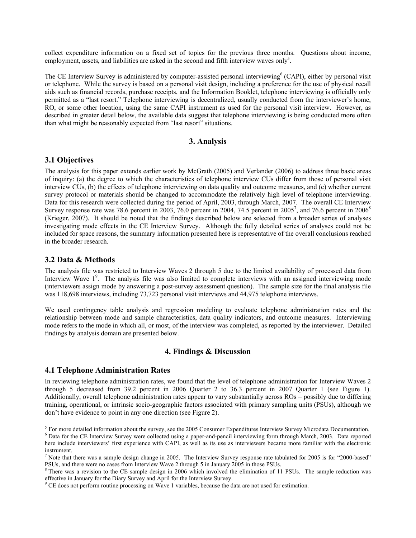collect expenditure information on a fixed set of topics for the previous three months. Questions about income, employment, assets, and liabilities are asked in the second and fifth interview waves only<sup>5</sup>.

The CE Interview Survey is administered by computer-assisted personal interviewing<sup>6</sup> (CAPI), either by personal visit or telephone. While the survey is based on a personal visit design, including a preference for the use of physical recall aids such as financial records, purchase receipts, and the Information Booklet, telephone interviewing is officially only permitted as a "last resort." Telephone interviewing is decentralized, usually conducted from the interviewer's home, RO, or some other location, using the same CAPI instrument as used for the personal visit interview. However, as described in greater detail below, the available data suggest that telephone interviewing is being conducted more often than what might be reasonably expected from "last resort" situations.

#### **3. Analysis**

#### **3.1 Objectives**

The analysis for this paper extends earlier work by McGrath (2005) and Verlander (2006) to address three basic areas of inquiry: (a) the degree to which the characteristics of telephone interview CUs differ from those of personal visit interview CUs, (b) the effects of telephone interviewing on data quality and outcome measures, and (c) whether current survey protocol or materials should be changed to accommodate the relatively high level of telephone interviewing. Data for this research were collected during the period of April, 2003, through March, 2007. The overall CE Interview Survey response rate was 78.6 percent in 2003, 76.0 percent in 2004, 74.5 percent in 2005<sup>7</sup>, and 76.6 percent in 2006<sup>8</sup> (Krieger, 2007). It should be noted that the findings described below are selected from a broader series of analyses investigating mode effects in the CE Interview Survey. Although the fully detailed series of analyses could not be included for space reasons, the summary information presented here is representative of the overall conclusions reached in the broader research.

#### **3.2 Data & Methods**

1

The analysis file was restricted to Interview Waves 2 through 5 due to the limited availability of processed data from Interview Wave 1<sup>9</sup>. The analysis file was also limited to complete interviews with an assigned interviewing mode (interviewers assign mode by answering a post-survey assessment question). The sample size for the final analysis file was 118,698 interviews, including 73,723 personal visit interviews and 44,975 telephone interviews.

We used contingency table analysis and regression modeling to evaluate telephone administration rates and the relationship between mode and sample characteristics, data quality indicators, and outcome measures. Interviewing mode refers to the mode in which all, or most, of the interview was completed, as reported by the interviewer. Detailed findings by analysis domain are presented below.

#### **4. Findings & Discussion**

#### **4.1 Telephone Administration Rates**

In reviewing telephone administration rates, we found that the level of telephone administration for Interview Waves 2 through 5 decreased from 39.2 percent in 2006 Quarter 2 to 36.3 percent in 2007 Quarter 1 (see Figure 1). Additionally, overall telephone administration rates appear to vary substantially across ROs – possibly due to differing training, operational, or intrinsic socio-geographic factors associated with primary sampling units (PSUs), although we don't have evidence to point in any one direction (see Figure 2).

<sup>&</sup>lt;sup>5</sup> For more detailed information about the survey, see the 2005 Consumer Expenditures Interview Survey Microdata Documentation. Data for the CE Interview Survey were collected using a paper-and-pencil interviewing form through March, 2003. Data reported here include interviewers' first experience with CAPI, as well as its use as interviewers became more familiar with the electronic instrument.

<sup>&</sup>lt;sup>7</sup> Note that there was a sample design change in 2005. The Interview Survey response rate tabulated for 2005 is for "2000-based" PSUs, and there were no cases from Interview Wave 2 through 5 in January 2005 in those PSUs. 8

 $8$  There was a revision to the CE sample design in 2006 which involved the elimination of 11 PSUs. The sample reduction was effective in January for the Diary Survey and April for the Interview Survey.

<sup>&</sup>lt;sup>9</sup> CE does not perform routine processing on Wave 1 variables, because the data are not used for estimation.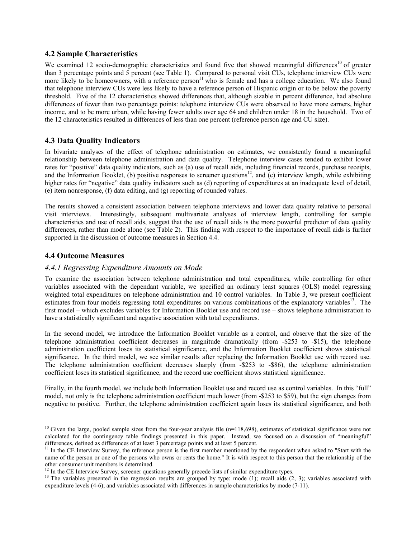### **4.2 Sample Characteristics**

We examined 12 socio-demographic characteristics and found five that showed meaningful differences<sup>10</sup> of greater than 3 percentage points and 5 percent (see Table 1). Compared to personal visit CUs, telephone interview CUs were more likely to be homeowners, with a reference person<sup>11</sup> who is female and has a college education. We also found that telephone interview CUs were less likely to have a reference person of Hispanic origin or to be below the poverty threshold. Five of the 12 characteristics showed differences that, although sizable in percent difference, had absolute differences of fewer than two percentage points: telephone interview CUs were observed to have more earners, higher income, and to be more urban, while having fewer adults over age 64 and children under 18 in the household. Two of the 12 characteristics resulted in differences of less than one percent (reference person age and CU size).

# **4.3 Data Quality Indicators**

In bivariate analyses of the effect of telephone administration on estimates, we consistently found a meaningful relationship between telephone administration and data quality. Telephone interview cases tended to exhibit lower rates for "positive" data quality indicators, such as (a) use of recall aids, including financial records, purchase receipts, and the Information Booklet, (b) positive responses to screener questions<sup>12</sup>, and (c) interview length, while exhibiting higher rates for "negative" data quality indicators such as (d) reporting of expenditures at an inadequate level of detail, (e) item nonresponse, (f) data editing, and (g) reporting of rounded values.

The results showed a consistent association between telephone interviews and lower data quality relative to personal visit interviews. Interestingly, subsequent multivariate analyses of interview length, controlling for sample characteristics and use of recall aids, suggest that the use of recall aids is the more powerful predictor of data quality differences, rather than mode alone (see Table 2). This finding with respect to the importance of recall aids is further supported in the discussion of outcome measures in Section 4.4.

# **4.4 Outcome Measures**

1

### *4.4.1 Regressing Expenditure Amounts on Mode*

To examine the association between telephone administration and total expenditures, while controlling for other variables associated with the dependant variable, we specified an ordinary least squares (OLS) model regressing weighted total expenditures on telephone administration and 10 control variables. In Table 3, we present coefficient estimates from four models regressing total expenditures on various combinations of the explanatory variables<sup>13</sup>. The first model – which excludes variables for Information Booklet use and record use – shows telephone administration to have a statistically significant and negative association with total expenditures.

In the second model, we introduce the Information Booklet variable as a control, and observe that the size of the telephone administration coefficient decreases in magnitude dramatically (from -\$253 to -\$15), the telephone administration coefficient loses its statistical significance, and the Information Booklet coefficient shows statistical significance. In the third model, we see similar results after replacing the Information Booklet use with record use. The telephone administration coefficient decreases sharply (from -\$253 to -\$86), the telephone administration coefficient loses its statistical significance, and the record use coefficient shows statistical significance.

Finally, in the fourth model, we include both Information Booklet use and record use as control variables. In this "full" model, not only is the telephone administration coefficient much lower (from -\$253 to \$59), but the sign changes from negative to positive. Further, the telephone administration coefficient again loses its statistical significance, and both

 $10$  Given the large, pooled sample sizes from the four-year analysis file (n=118,698), estimates of statistical significance were not calculated for the contingency table findings presented in this paper. Instead, we focused on a discussion of "meaningful" differences, defined as differences of at least 3 percentage points and at least 5 percent.

<sup>&</sup>lt;sup>11</sup> In the CE Interview Survey, the reference person is the first member mentioned by the respondent when asked to "Start with the name of the person or one of the persons who owns or rents the home." It is with respect to this person that the relationship of the other consumer unit members is determined.<br><sup>12</sup> In the CE Interview Survey, screener questions generally precede lists of similar expenditure types.

<sup>&</sup>lt;sup>13</sup> The variables presented in the regression results are grouped by type: mode (1); recall aids (2, 3); variables associated with expenditure levels (4-6); and variables associated with differences in sample characteristics by mode (7-11).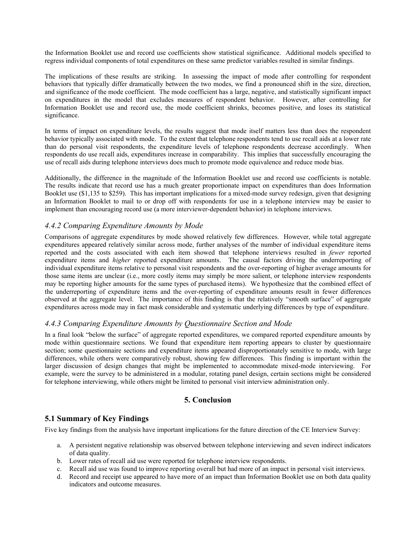the Information Booklet use and record use coefficients show statistical significance. Additional models specified to regress individual components of total expenditures on these same predictor variables resulted in similar findings.

The implications of these results are striking. In assessing the impact of mode after controlling for respondent behaviors that typically differ dramatically between the two modes, we find a pronounced shift in the size, direction, and significance of the mode coefficient. The mode coefficient has a large, negative, and statistically significant impact on expenditures in the model that excludes measures of respondent behavior. However, after controlling for Information Booklet use and record use, the mode coefficient shrinks, becomes positive, and loses its statistical significance.

In terms of impact on expenditure levels, the results suggest that mode itself matters less than does the respondent behavior typically associated with mode. To the extent that telephone respondents tend to use recall aids at a lower rate than do personal visit respondents, the expenditure levels of telephone respondents decrease accordingly. When respondents do use recall aids, expenditures increase in comparability. This implies that successfully encouraging the use of recall aids during telephone interviews does much to promote mode equivalence and reduce mode bias.

Additionally, the difference in the magnitude of the Information Booklet use and record use coefficients is notable. The results indicate that record use has a much greater proportionate impact on expenditures than does Information Booklet use (\$1,135 to \$259). This has important implications for a mixed-mode survey redesign, given that designing an Information Booklet to mail to or drop off with respondents for use in a telephone interview may be easier to implement than encouraging record use (a more interviewer-dependent behavior) in telephone interviews.

## *4.4.2 Comparing Expenditure Amounts by Mode*

Comparisons of aggregate expenditures by mode showed relatively few differences. However, while total aggregate expenditures appeared relatively similar across mode, further analyses of the number of individual expenditure items reported and the costs associated with each item showed that telephone interviews resulted in *fewer* reported expenditure items and *higher* reported expenditure amounts. The causal factors driving the underreporting of individual expenditure items relative to personal visit respondents and the over-reporting of higher average amounts for those same items are unclear (i.e., more costly items may simply be more salient, or telephone interview respondents may be reporting higher amounts for the same types of purchased items). We hypothesize that the combined effect of the underreporting of expenditure items and the over-reporting of expenditure amounts result in fewer differences observed at the aggregate level. The importance of this finding is that the relatively "smooth surface" of aggregate expenditures across mode may in fact mask considerable and systematic underlying differences by type of expenditure.

## *4.4.3 Comparing Expenditure Amounts by Questionnaire Section and Mode*

In a final look "below the surface" of aggregate reported expenditures, we compared reported expenditure amounts by mode within questionnaire sections. We found that expenditure item reporting appears to cluster by questionnaire section; some questionnaire sections and expenditure items appeared disproportionately sensitive to mode, with large differences, while others were comparatively robust, showing few differences. This finding is important within the larger discussion of design changes that might be implemented to accommodate mixed-mode interviewing. For example, were the survey to be administered in a modular, rotating panel design, certain sections might be considered for telephone interviewing, while others might be limited to personal visit interview administration only.

# **5. Conclusion**

# **5.1 Summary of Key Findings**

Five key findings from the analysis have important implications for the future direction of the CE Interview Survey:

- a. A persistent negative relationship was observed between telephone interviewing and seven indirect indicators of data quality.
- b. Lower rates of recall aid use were reported for telephone interview respondents.
- c. Recall aid use was found to improve reporting overall but had more of an impact in personal visit interviews.
- d. Record and receipt use appeared to have more of an impact than Information Booklet use on both data quality indicators and outcome measures.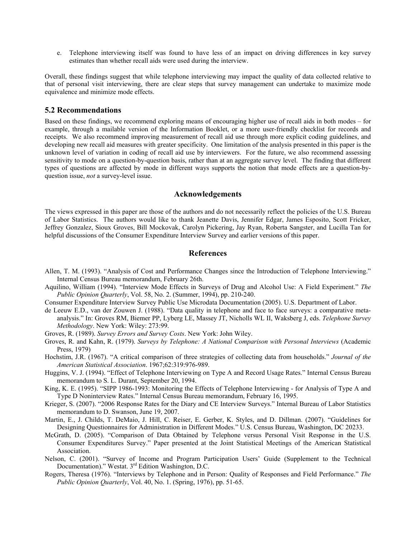e. Telephone interviewing itself was found to have less of an impact on driving differences in key survey estimates than whether recall aids were used during the interview.

Overall, these findings suggest that while telephone interviewing may impact the quality of data collected relative to that of personal visit interviewing, there are clear steps that survey management can undertake to maximize mode equivalence and minimize mode effects.

#### **5.2 Recommendations**

Based on these findings, we recommend exploring means of encouraging higher use of recall aids in both modes – for example, through a mailable version of the Information Booklet, or a more user-friendly checklist for records and receipts. We also recommend improving measurement of recall aid use through more explicit coding guidelines, and developing new recall aid measures with greater specificity. One limitation of the analysis presented in this paper is the unknown level of variation in coding of recall aid use by interviewers. For the future, we also recommend assessing sensitivity to mode on a question-by-question basis, rather than at an aggregate survey level. The finding that different types of questions are affected by mode in different ways supports the notion that mode effects are a question-byquestion issue, *not* a survey-level issue.

#### **Acknowledgements**

The views expressed in this paper are those of the authors and do not necessarily reflect the policies of the U.S. Bureau of Labor Statistics. The authors would like to thank Jeanette Davis, Jennifer Edgar, James Esposito, Scott Fricker, Jeffrey Gonzalez, Sioux Groves, Bill Mockovak, Carolyn Pickering, Jay Ryan, Roberta Sangster, and Lucilla Tan for helpful discussions of the Consumer Expenditure Interview Survey and earlier versions of this paper.

#### **References**

- Allen, T. M. (1993). "Analysis of Cost and Performance Changes since the Introduction of Telephone Interviewing." Internal Census Bureau memorandum, February 26th.
- Aquilino, William (1994). "Interview Mode Effects in Surveys of Drug and Alcohol Use: A Field Experiment." *The Public Opinion Quarterly*, Vol. 58, No. 2. (Summer, 1994), pp. 210-240.
- Consumer Expenditure Interview Survey Public Use Microdata Documentation (2005). U.S. Department of Labor.
- de Leeuw E.D., van der Zouwen J. (1988). "Data quality in telephone and face to face surveys: a comparative metaanalysis." In: Groves RM, Biemer PP, Lyberg LE, Massey JT, Nicholls WL II, Waksberg J, eds. *Telephone Survey Methodology*. New York: Wiley: 273:99.
- Groves, R. (1989). *Survey Errors and Survey Costs*. New York: John Wiley.
- Groves, R. and Kahn, R. (1979). *Surveys by Telephone: A National Comparison with Personal Interviews* (Academic Press, 1979)
- Hochstim, J.R. (1967). "A critical comparison of three strategies of collecting data from households." *Journal of the American Statistical Association*. 1967;62:319:976-989.
- Huggins, V. J. (1994). "Effect of Telephone Interviewing on Type A and Record Usage Rates." Internal Census Bureau memorandum to S. L. Durant, September 20, 1994.
- King, K. E. (1995). "SIPP 1986-1993: Monitoring the Effects of Telephone Interviewing for Analysis of Type A and Type D Noninterview Rates." Internal Census Bureau memorandum, February 16, 1995.
- Krieger, S. (2007). "2006 Response Rates for the Diary and CE Interview Surveys." Internal Bureau of Labor Statistics memorandum to D. Swanson, June 19, 2007.
- Martin, E., J. Childs, T. DeMaio, J. Hill, C. Reiser, E. Gerber, K. Styles, and D. Dillman. (2007). "Guidelines for Designing Questionnaires for Administration in Different Modes." U.S. Census Bureau, Washington, DC 20233.
- McGrath, D. (2005). "Comparison of Data Obtained by Telephone versus Personal Visit Response in the U.S. Consumer Expenditures Survey." Paper presented at the Joint Statistical Meetings of the American Statistical Association.
- Nelson, C. (2001). "Survey of Income and Program Participation Users' Guide (Supplement to the Technical Documentation)." Westat. 3<sup>rd</sup> Edition Washington, D.C.
- Rogers, Theresa (1976). "Interviews by Telephone and in Person: Quality of Responses and Field Performance." *The Public Opinion Quarterly*, Vol. 40, No. 1. (Spring, 1976), pp. 51-65.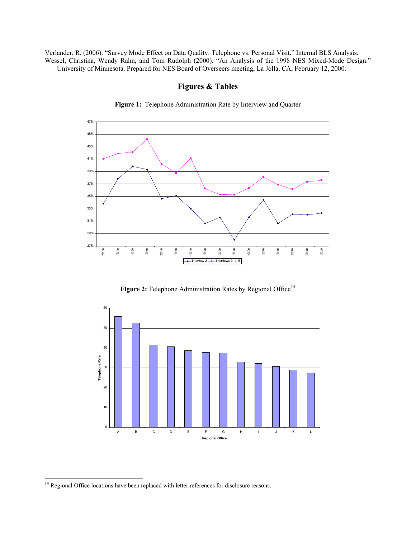Verlander, R. (2006). "Survey Mode Effect on Data Quality: Telephone vs. Personal Visit." Internal BLS Analysis. Wessel, Christina, Wendy Rahn, and Tom Rudolph (2000). "An Analysis of the 1998 NES Mixed-Mode Design." University of Minnesota. Prepared for NES Board of Overseers meeting, La Jolla, CA, February 12, 2000.



**Figure 1:** Telephone Administration Rate by Interview and Quarter

**Figures & Tables** 

Figure 2: Telephone Administration Rates by Regional Office<sup>14</sup>



1

<sup>&</sup>lt;sup>14</sup> Regional Office locations have been replaced with letter references for disclosure reasons.